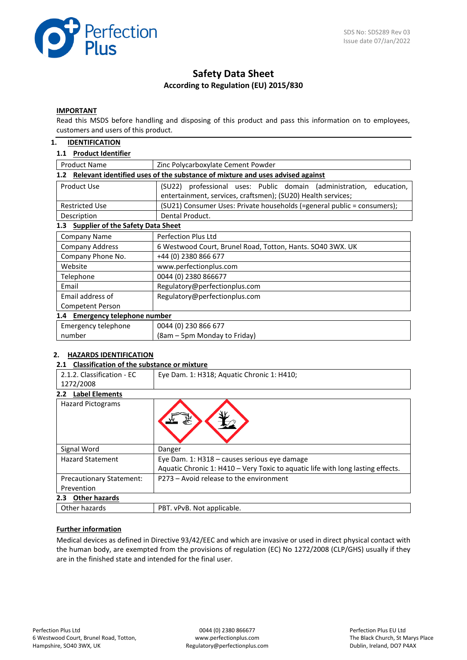

# **Safety Data Sheet According to Regulation (EU) 2015/830**

#### **IMPORTANT**

Read this MSDS before handling and disposing of this product and pass this information on to employees, customers and users of this product.

### **1. IDENTIFICATION**

### **1.1 Product Identifier**

| <b>Product Name</b>                                                                  | Zinc Polycarboxylate Cement Powder                                                                                                     |  |  |  |
|--------------------------------------------------------------------------------------|----------------------------------------------------------------------------------------------------------------------------------------|--|--|--|
| Relevant identified uses of the substance of mixture and uses advised against<br>1.2 |                                                                                                                                        |  |  |  |
| Product Use                                                                          | (SU22) professional uses: Public domain (administration,<br>education,<br>entertainment, services, craftsmen); (SU20) Health services; |  |  |  |
| <b>Restricted Use</b>                                                                | (SU21) Consumer Uses: Private households (=general public = consumers);                                                                |  |  |  |
| Description                                                                          | Dental Product.                                                                                                                        |  |  |  |
| <b>Supplier of the Safety Data Sheet</b><br>1.3                                      |                                                                                                                                        |  |  |  |
| <b>Company Name</b>                                                                  | <b>Perfection Plus Ltd</b>                                                                                                             |  |  |  |
| <b>Company Address</b>                                                               | 6 Westwood Court, Brunel Road, Totton, Hants. SO40 3WX. UK                                                                             |  |  |  |
| Company Phone No.                                                                    | +44 (0) 2380 866 677                                                                                                                   |  |  |  |
| Website                                                                              | www.perfectionplus.com                                                                                                                 |  |  |  |
| Telephone                                                                            | 0044 (0) 2380 866677                                                                                                                   |  |  |  |
| Email                                                                                | Regulatory@perfectionplus.com                                                                                                          |  |  |  |
| Email address of                                                                     | Regulatory@perfectionplus.com                                                                                                          |  |  |  |
| Competent Person                                                                     |                                                                                                                                        |  |  |  |
| 1.4 Emergency telephone number                                                       |                                                                                                                                        |  |  |  |
| Emergency telephone                                                                  | 0044 (0) 230 866 677                                                                                                                   |  |  |  |
| number                                                                               | (8am – 5pm Monday to Friday)                                                                                                           |  |  |  |

### **2. HAZARDS IDENTIFICATION**

### **2.1 Classification of the substance or mixture**

| 2.1.2. Classification - FC      | Eye Dam. 1: H318; Aquatic Chronic 1: H410;                                      |
|---------------------------------|---------------------------------------------------------------------------------|
| 1272/2008                       |                                                                                 |
| <b>Label Elements</b><br>2.2    |                                                                                 |
| <b>Hazard Pictograms</b>        |                                                                                 |
| Signal Word                     | Danger                                                                          |
| <b>Hazard Statement</b>         | Eye Dam. 1: H318 - causes serious eye damage                                    |
|                                 | Aquatic Chronic 1: H410 – Very Toxic to aquatic life with long lasting effects. |
| <b>Precautionary Statement:</b> | P273 - Avoid release to the environment                                         |
| Prevention                      |                                                                                 |
| <b>Other hazards</b><br>2.3     |                                                                                 |
| Other hazards                   | PBT. vPvB. Not applicable.                                                      |

### **Further information**

Medical devices as defined in Directive 93/42/EEC and which are invasive or used in direct physical contact with the human body, are exempted from the provisions of regulation (EC) No 1272/2008 (CLP/GHS) usually if they are in the finished state and intended for the final user.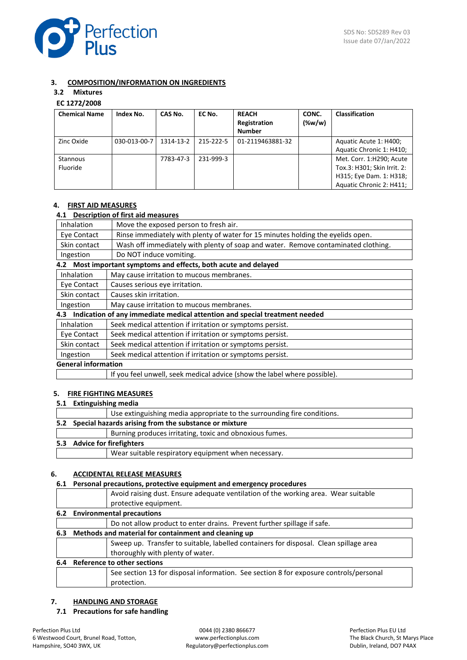

### **3. COMPOSITION/INFORMATION ON INGREDIENTS**

# **3.2 Mixtures**

# **EC 1272/2008**

| <b>Chemical Name</b> | Index No.    | CAS No.   | EC No.    | <b>REACH</b><br>Registration<br><b>Number</b> | CONC.<br>$(\%w/w)$ | <b>Classification</b>                                                                                          |
|----------------------|--------------|-----------|-----------|-----------------------------------------------|--------------------|----------------------------------------------------------------------------------------------------------------|
| Zinc Oxide           | 030-013-00-7 | 1314-13-2 | 215-222-5 | 01-2119463881-32                              |                    | Aquatic Acute 1: H400;<br>Aquatic Chronic 1: H410;                                                             |
| Stannous<br>Fluoride |              | 7783-47-3 | 231-999-3 |                                               |                    | Met. Corr. 1:H290; Acute<br>Tox.3: H301; Skin Irrit. 2:<br>H315; Eye Dam. 1: H318;<br>Aquatic Chronic 2: H411; |

### **4. FIRST AID MEASURES**

# **4.1 Description of first aid measures**

|                            | Description or mot ald measures                                                   |
|----------------------------|-----------------------------------------------------------------------------------|
| <b>Inhalation</b>          | Move the exposed person to fresh air.                                             |
| Eye Contact                | Rinse immediately with plenty of water for 15 minutes holding the eyelids open.   |
| Skin contact               | Wash off immediately with plenty of soap and water. Remove contaminated clothing. |
| Ingestion                  | Do NOT induce vomiting.                                                           |
|                            | 4.2 Most important symptoms and effects, both acute and delayed                   |
| Inhalation                 | May cause irritation to mucous membranes.                                         |
| Eye Contact                | Causes serious eye irritation.                                                    |
| Skin contact               | Causes skin irritation.                                                           |
| Ingestion                  | May cause irritation to mucous membranes.                                         |
| 4.3                        | Indication of any immediate medical attention and special treatment needed        |
| <b>Inhalation</b>          | Seek medical attention if irritation or symptoms persist.                         |
| Eye Contact                | Seek medical attention if irritation or symptoms persist.                         |
| Skin contact               | Seek medical attention if irritation or symptoms persist.                         |
| Ingestion                  | Seek medical attention if irritation or symptoms persist.                         |
| <b>General information</b> |                                                                                   |
|                            | If you feel unwell, seek medical advice (show the label where possible).          |
|                            |                                                                                   |

### **5. FIRE FIGHTING MEASURES**

### **5.1 Extinguishing media**

|                                                           | Use extinguishing media appropriate to the surrounding fire conditions. |  |
|-----------------------------------------------------------|-------------------------------------------------------------------------|--|
| 5.2 Special hazards arising from the substance or mixture |                                                                         |  |
|                                                           | Burning produces irritating, toxic and obnoxious fumes.                 |  |
| 5.3 Advice for firefighters                               |                                                                         |  |
|                                                           | Wear suitable respiratory equipment when necessary.                     |  |
|                                                           |                                                                         |  |

### **6. ACCIDENTAL RELEASE MEASURES**

| 6.1 | Personal precautions, protective equipment and emergency procedures |                                                                                       |  |
|-----|---------------------------------------------------------------------|---------------------------------------------------------------------------------------|--|
|     |                                                                     | Avoid raising dust. Ensure adequate ventilation of the working area. Wear suitable    |  |
|     |                                                                     | protective equipment.                                                                 |  |
|     | 6.2 Environmental precautions                                       |                                                                                       |  |
|     |                                                                     | Do not allow product to enter drains. Prevent further spillage if safe.               |  |
| 6.3 | Methods and material for containment and cleaning up                |                                                                                       |  |
|     |                                                                     | Sweep up. Transfer to suitable, labelled containers for disposal. Clean spillage area |  |
|     |                                                                     | thoroughly with plenty of water.                                                      |  |
| 6.4 | Reference to other sections                                         |                                                                                       |  |
|     |                                                                     | See section 13 for disposal information. See section 8 for exposure controls/personal |  |
|     |                                                                     | protection.                                                                           |  |

# **7. HANDLING AND STORAGE**

### **7.1 Precautions for safe handling**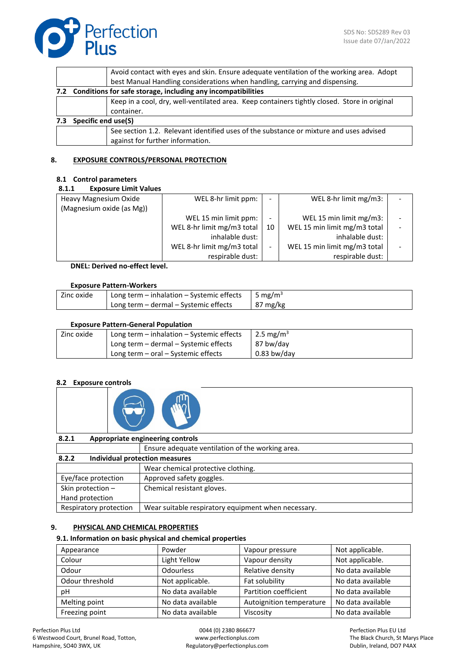

|     |                                                                  | Avoid contact with eyes and skin. Ensure adequate ventilation of the working area. Adopt                                   |  |  |
|-----|------------------------------------------------------------------|----------------------------------------------------------------------------------------------------------------------------|--|--|
|     |                                                                  | best Manual Handling considerations when handling, carrying and dispensing.                                                |  |  |
|     | 7.2 Conditions for safe storage, including any incompatibilities |                                                                                                                            |  |  |
|     |                                                                  | Keep in a cool, dry, well-ventilated area. Keep containers tightly closed. Store in original                               |  |  |
|     |                                                                  | container.                                                                                                                 |  |  |
| 7.3 | <b>Specific end use(S)</b>                                       |                                                                                                                            |  |  |
|     |                                                                  | See section 1.2. Relevant identified uses of the substance or mixture and uses advised<br>against for further information. |  |  |

### **8. EXPOSURE CONTROLS/PERSONAL PROTECTION**

### **8.1 Control parameters**

| Heavy Magnesium Oxide     | WEL 8-hr limit ppm:        | -  | WEL 8-hr limit mg/m3:        |  |
|---------------------------|----------------------------|----|------------------------------|--|
| (Magnesium oxide (as Mg)) |                            |    |                              |  |
|                           | WEL 15 min limit ppm:      | -  | WEL 15 min limit mg/m3:      |  |
|                           | WEL 8-hr limit mg/m3 total | 10 | WEL 15 min limit mg/m3 total |  |
|                           | inhalable dust:            |    | inhalable dust:              |  |
|                           | WEL 8-hr limit mg/m3 total | -  | WEL 15 min limit mg/m3 total |  |
|                           | respirable dust:           |    | respirable dust:             |  |

**DNEL: Derived no-effect level.**

#### **Exposure Pattern-Workers**

| Long term - inhalation - Systemic effects<br>Zinc oxide |                                       | 5 mg/m <sup>3</sup> |
|---------------------------------------------------------|---------------------------------------|---------------------|
|                                                         | Long term - dermal - Systemic effects | $87 \text{ mg/kg}$  |

### **Exposure Pattern-General Population**

| Zinc oxide | Long term $-$ inhalation $-$ Systemic effects | 2.5 mg/m <sup>3</sup> |
|------------|-----------------------------------------------|-----------------------|
|            | Long term – dermal – Systemic effects         | 87 bw/day             |
|            | Long term $-$ oral $-$ Systemic effects       | $0.83$ bw/day         |

### **8.2 Exposure controls**

| 8.2.1 | Appropriate engineering controls |  |  |
|-------|----------------------------------|--|--|
|-------|----------------------------------|--|--|

Ensure adequate ventilation of the working area.

| 8.2.2<br>Individual protection measures |                                                     |  |
|-----------------------------------------|-----------------------------------------------------|--|
|                                         | Wear chemical protective clothing.                  |  |
| Eye/face protection                     | Approved safety goggles.                            |  |
| Skin protection -                       | Chemical resistant gloves.                          |  |
| Hand protection                         |                                                     |  |
| Respiratory protection                  | Wear suitable respiratory equipment when necessary. |  |

### **9. PHYSICAL AND CHEMICAL PROPERTIES**

### **9.1. Information on basic physical and chemical properties**

| Appearance      | Powder            | Vapour pressure          | Not applicable.   |
|-----------------|-------------------|--------------------------|-------------------|
| Colour          | Light Yellow      | Vapour density           | Not applicable.   |
| Odour           | <b>Odourless</b>  | Relative density         | No data available |
| Odour threshold | Not applicable.   | Fat solubility           | No data available |
| рH              | No data available | Partition coefficient    | No data available |
| Melting point   | No data available | Autoignition temperature | No data available |
| Freezing point  | No data available | Viscosity                | No data available |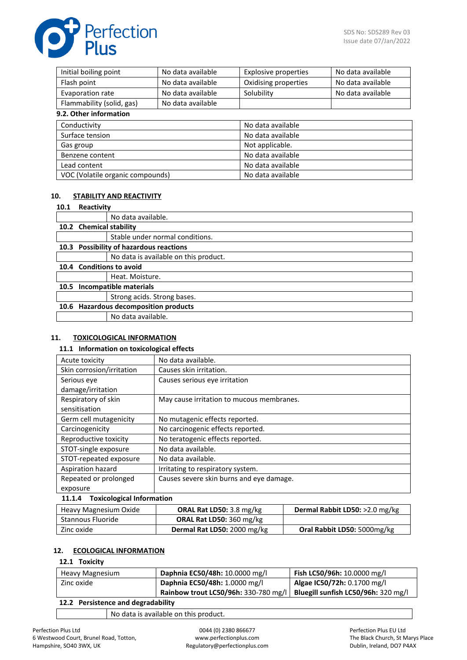

| Initial boiling point                | No data available | <b>Explosive properties</b> | No data available |
|--------------------------------------|-------------------|-----------------------------|-------------------|
| Flash point                          | No data available | Oxidising properties        | No data available |
| Evaporation rate                     | No data available | Solubility                  | No data available |
| Flammability (solid, gas)            | No data available |                             |                   |
| 9.2. Other information               |                   |                             |                   |
| Conductivity                         |                   | No data available           |                   |
| Surface tension<br>No data available |                   |                             |                   |
| Gas group                            | Not applicable.   |                             |                   |
| Benzene content                      |                   | No data available           |                   |
| No data available<br>Lead content    |                   |                             |                   |
| VOC (Volatile organic compounds)     |                   | No data available           |                   |

### **10. STABILITY AND REACTIVITY**

#### **10.1 Reactivity**

|      |                         | No data available.                      |
|------|-------------------------|-----------------------------------------|
|      | 10.2 Chemical stability |                                         |
|      |                         | Stable under normal conditions.         |
|      |                         | 10.3 Possibility of hazardous reactions |
|      |                         | No data is available on this product.   |
|      |                         | 10.4 Conditions to avoid                |
|      |                         | Heat. Moisture.                         |
| 10.5 |                         | Incompatible materials                  |
|      |                         | Strong acids. Strong bases.             |
|      |                         | 10.6 Hazardous decomposition products   |
|      |                         | No data available.                      |

### **11. TOXICOLOGICAL INFORMATION**

#### **11.1 Information on toxicological effects**

| Acute toxicity                                                  | No data available.                        |  |
|-----------------------------------------------------------------|-------------------------------------------|--|
|                                                                 |                                           |  |
| Skin corrosion/irritation                                       | Causes skin irritation.                   |  |
| Serious eve                                                     | Causes serious eve irritation             |  |
| damage/irritation                                               |                                           |  |
| Respiratory of skin                                             | May cause irritation to mucous membranes. |  |
| sensitisation                                                   |                                           |  |
| Germ cell mutagenicity                                          | No mutagenic effects reported.            |  |
| Carcinogenicity                                                 | No carcinogenic effects reported.         |  |
| Reproductive toxicity                                           | No teratogenic effects reported.          |  |
| STOT-single exposure                                            | No data available.                        |  |
| STOT-repeated exposure                                          | No data available.                        |  |
| Aspiration hazard                                               | Irritating to respiratory system.         |  |
| Repeated or prolonged                                           | Causes severe skin burns and eye damage.  |  |
| exposure                                                        |                                           |  |
| 11.1.4 Toxicological Information                                |                                           |  |
| $\mathbf{a}$ and $\mathbf{a}$ and $\mathbf{a}$ and $\mathbf{a}$ |                                           |  |

| Heavy Magnesium Oxide | <b>ORAL Rat LD50: 3.8 mg/kg</b> | Dermal Rabbit LD50: >2.0 mg/kg |
|-----------------------|---------------------------------|--------------------------------|
| Stannous Fluoride     | <b>ORAL Rat LD50: 360 mg/kg</b> |                                |
| Zinc oxide            | Dermal Rat LD50: 2000 mg/kg     | Oral Rabbit LD50: 5000mg/kg    |

### **12. ECOLOGICAL INFORMATION**

## **12.1 Toxicity**

| Heavy Magnesium                            | Daphnia EC50/48h: 10.0000 mg/l       | Fish LC50/96h: 10.0000 mg/l         |
|--------------------------------------------|--------------------------------------|-------------------------------------|
| Zinc oxide                                 | Daphnia EC50/48h: 1.0000 mg/l        | Algae IC50/72h: 0.1700 mg/l         |
|                                            | Rainbow trout LC50/96h: 330-780 mg/l | Bluegill sunfish LC50/96h: 320 mg/l |
| 49.9. Benetet en de de de la marchet Hitag |                                      |                                     |

**12.2 Persistence and degradability**

No data is available on this product.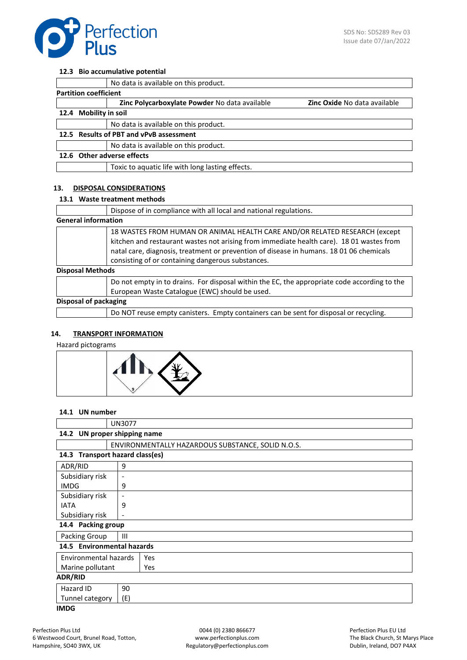

 $\overline{1}$ 

#### **12.3 Bio accumulative potential**

|                              | No data is available on this product.            |                                     |  |
|------------------------------|--------------------------------------------------|-------------------------------------|--|
| <b>Partition coefficient</b> |                                                  |                                     |  |
|                              | Zinc Polycarboxylate Powder No data available    | <b>Zinc Oxide No data available</b> |  |
| 12.4 Mobility in soil        |                                                  |                                     |  |
|                              | No data is available on this product.            |                                     |  |
|                              | 12.5 Results of PBT and vPvB assessment          |                                     |  |
|                              | No data is available on this product.            |                                     |  |
|                              | 12.6 Other adverse effects                       |                                     |  |
|                              | Toxic to aquatic life with long lasting effects. |                                     |  |
|                              |                                                  |                                     |  |

### **13. DISPOSAL CONSIDERATIONS**

### **13.1 Waste treatment methods**

|                            | Dispose of in compliance with all local and national regulations.                                                                                                                                                                                                                                                      |
|----------------------------|------------------------------------------------------------------------------------------------------------------------------------------------------------------------------------------------------------------------------------------------------------------------------------------------------------------------|
| <b>General information</b> |                                                                                                                                                                                                                                                                                                                        |
|                            | 18 WASTES FROM HUMAN OR ANIMAL HEALTH CARE AND/OR RELATED RESEARCH (except<br>kitchen and restaurant wastes not arising from immediate health care). 18 01 wastes from<br>natal care, diagnosis, treatment or prevention of disease in humans. 18 01 06 chemicals<br>consisting of or containing dangerous substances. |
| <b>Disposal Methods</b>    |                                                                                                                                                                                                                                                                                                                        |
|                            | Do not empty in to drains. For disposal within the EC, the appropriate code according to the<br>European Waste Catalogue (EWC) should be used.                                                                                                                                                                         |
| Disposal of packaging      |                                                                                                                                                                                                                                                                                                                        |
|                            | Do NOT reuse empty canisters. Empty containers can be sent for disposal or recycling.                                                                                                                                                                                                                                  |

### **14. TRANSPORT INFORMATION**

Hazard pictograms



## **14.1 UN number**

|                                 | <b>UN3077</b> |                                                   |
|---------------------------------|---------------|---------------------------------------------------|
| 14.2 UN proper shipping name    |               |                                                   |
|                                 |               | ENVIRONMENTALLY HAZARDOUS SUBSTANCE, SOLID N.O.S. |
| 14.3 Transport hazard class(es) |               |                                                   |
| ADR/RID                         | 9             |                                                   |
| Subsidiary risk                 | -             |                                                   |
| <b>IMDG</b>                     | 9             |                                                   |
| Subsidiary risk                 | ۰             |                                                   |
| <b>IATA</b>                     | 9             |                                                   |
| Subsidiary risk                 |               |                                                   |
| 14.4 Packing group              |               |                                                   |
| Packing Group                   | Ш             |                                                   |
| 14.5 Environmental hazards      |               |                                                   |
| Environmental hazards<br>Yes    |               |                                                   |
| Marine pollutant                |               | Yes                                               |
| <b>ADR/RID</b>                  |               |                                                   |
| Hazard ID                       | 90            |                                                   |
| Tunnel category                 | (E)           |                                                   |
| <b>IMDG</b>                     |               |                                                   |